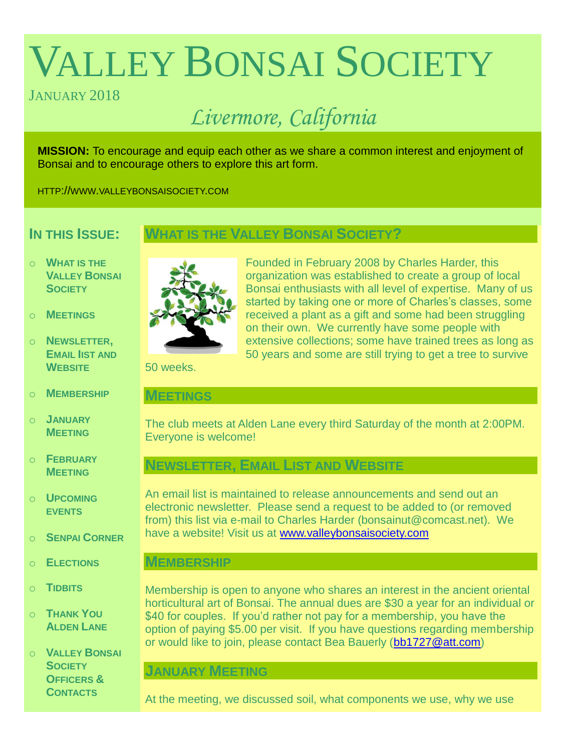# VALLEY BONSAI SOCIETY

# JANUARY 2018

# *Livermore, California*

**MISSION:** To encourage and equip each other as we share a common interest and enjoyment of Bonsai and to encourage others to explore this art form.

HTTP://WWW.VALLEYBONSAISOCIETY.COM

# **IN THIS ISSUE:**

# **WHAT IS THE VALLEY BONSAI SOCIETY?**

- o **WHAT IS THE VALLEY BONSAI SOCIETY**
- o **MEETINGS**
- o **NEWSLETTER, EMAIL IIST AND WEBSITE**
- o **MEMBERSHIP**
- o **JANUARY MEETING**
- o **FEBRUARY MEETING**
- o **UPCOMING EVENTS**
- o **SENPAI CORNER**
- o **ELECTIONS**
- o **TIDBITS**
- o **THANK YOU ALDEN LANE**
- o **VALLEY BONSAI SOCIETY OFFICERS & CONTACTS**



Founded in February 2008 by Charles Harder, this organization was established to create a group of local Bonsai enthusiasts with all level of expertise. Many of us started by taking one or more of Charles's classes, some received a plant as a gift and some had been struggling on their own. We currently have some people with extensive collections; some have trained trees as long as 50 years and some are still trying to get a tree to survive

50 weeks.

#### **MEETINGS**

The club meets at Alden Lane every third Saturday of the month at 2:00PM. Everyone is welcome!

# **NEWSLETTER, EMAIL LIST AND WEBSITE**

An email list is maintained to release announcements and send out an electronic newsletter. Please send a request to be added to (or removed from) this list via e-mail to Charles Harder (bonsainut@comcast.net). We have a website! Visit us at [www.valleybonsaisociety.com](http://www.valleybonsaisociety.com/)

## **MEMBERSHIP**

Membership is open to anyone who shares an interest in the ancient oriental horticultural art of Bonsai. The annual dues are \$30 a year for an individual or \$40 for couples. If you'd rather not pay for a membership, you have the option of paying \$5.00 per visit. If you have questions regarding membership or would like to join, please contact Bea Bauerly [\(bb1727@att.com\)](mailto:bb1727@att.com)

## **JANUARY MEETING**

At the meeting, we discussed soil, what components we use, why we use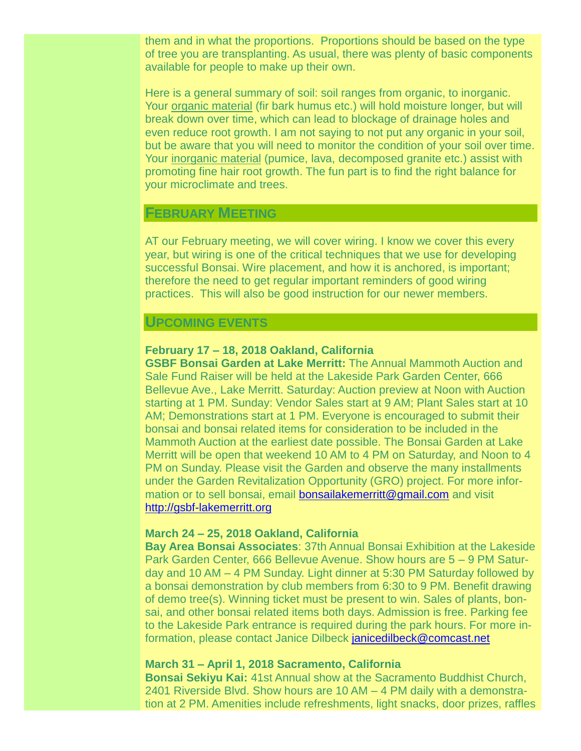them and in what the proportions. Proportions should be based on the type of tree you are transplanting. As usual, there was plenty of basic components available for people to make up their own.

Here is a general summary of soil: soil ranges from organic, to inorganic. Your organic material (fir bark humus etc.) will hold moisture longer, but will break down over time, which can lead to blockage of drainage holes and even reduce root growth. I am not saying to not put any organic in your soil, but be aware that you will need to monitor the condition of your soil over time. Your inorganic material (pumice, lava, decomposed granite etc.) assist with promoting fine hair root growth. The fun part is to find the right balance for your microclimate and trees.

#### **FEBRUARY MEETING**

AT our February meeting, we will cover wiring. I know we cover this every year, but wiring is one of the critical techniques that we use for developing successful Bonsai. Wire placement, and how it is anchored, is important; therefore the need to get regular important reminders of good wiring practices. This will also be good instruction for our newer members.

#### **UPCOMING EVENTS**

#### **February 17 – 18, 2018 Oakland, California**

**GSBF Bonsai Garden at Lake Merritt:** The Annual Mammoth Auction and Sale Fund Raiser will be held at the Lakeside Park Garden Center, 666 Bellevue Ave., Lake Merritt. Saturday: Auction preview at Noon with Auction starting at 1 PM. Sunday: Vendor Sales start at 9 AM; Plant Sales start at 10 AM; Demonstrations start at 1 PM. Everyone is encouraged to submit their bonsai and bonsai related items for consideration to be included in the Mammoth Auction at the earliest date possible. The Bonsai Garden at Lake Merritt will be open that weekend 10 AM to 4 PM on Saturday, and Noon to 4 PM on Sunday. Please visit the Garden and observe the many installments under the Garden Revitalization Opportunity (GRO) project. For more information or to sell bonsai, email [bonsailakemerritt@gmail.com](mailto:bonsailakemerritt@gmail.com) and visit [http://gsbf-lakemerritt.org](http://gsbf-lakemerritt.org/)

#### **March 24 – 25, 2018 Oakland, California**

**Bay Area Bonsai Associates**: 37th Annual Bonsai Exhibition at the Lakeside Park Garden Center, 666 Bellevue Avenue. Show hours are 5 – 9 PM Saturday and 10 AM – 4 PM Sunday. Light dinner at 5:30 PM Saturday followed by a bonsai demonstration by club members from 6:30 to 9 PM. Benefit drawing of demo tree(s). Winning ticket must be present to win. Sales of plants, bonsai, and other bonsai related items both days. Admission is free. Parking fee to the Lakeside Park entrance is required during the park hours. For more information, please contact Janice Dilbeck [janicedilbeck@comcast.net](mailto:janicedilbeck@comcast.net)

#### **March 31 – April 1, 2018 Sacramento, California**

**Bonsai Sekiyu Kai:** 41st Annual show at the Sacramento Buddhist Church, 2401 Riverside Blvd. Show hours are 10 AM – 4 PM daily with a demonstration at 2 PM. Amenities include refreshments, light snacks, door prizes, raffles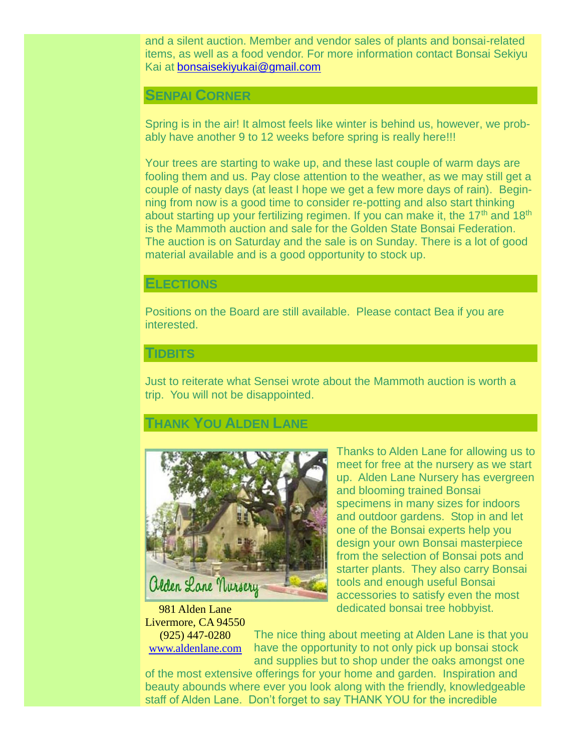and a silent auction. Member and vendor sales of plants and bonsai-related items, as well as a food vendor. For more information contact Bonsai Sekiyu Kai at [bonsaisekiyukai@gmail.com](mailto:bonsaisekiyukai@gmail.com)

#### **SENPAI CORNER**

Spring is in the air! It almost feels like winter is behind us, however, we probably have another 9 to 12 weeks before spring is really here!!!

Your trees are starting to wake up, and these last couple of warm days are fooling them and us. Pay close attention to the weather, as we may still get a couple of nasty days (at least I hope we get a few more days of rain). Beginning from now is a good time to consider re-potting and also start thinking about starting up your fertilizing regimen. If you can make it, the  $17<sup>th</sup>$  and  $18<sup>th</sup>$ is the Mammoth auction and sale for the Golden State Bonsai Federation. The auction is on Saturday and the sale is on Sunday. There is a lot of good material available and is a good opportunity to stock up.

#### **ELECTIONS**

Positions on the Board are still available. Please contact Bea if you are interested.

#### **TIDBITS**

Just to reiterate what Sensei wrote about the Mammoth auction is worth a trip. You will not be disappointed.

#### **THANK YOU ALDEN LANE**



Thanks to Alden Lane for allowing us to meet for free at the nursery as we start up. Alden Lane Nursery has evergreen and blooming trained Bonsai specimens in many sizes for indoors and outdoor gardens. Stop in and let one of the Bonsai experts help you design your own Bonsai masterpiece from the selection of Bonsai pots and starter plants. They also carry Bonsai tools and enough useful Bonsai accessories to satisfy even the most dedicated bonsai tree hobbyist.

981 Alden Lane Livermore, CA 94550 (925) 447-0280

[www.aldenlane.com](http://www.aldenlane.com/)

The nice thing about meeting at Alden Lane is that you have the opportunity to not only pick up bonsai stock and supplies but to shop under the oaks amongst one

of the most extensive offerings for your home and garden. Inspiration and beauty abounds where ever you look along with the friendly, knowledgeable staff of Alden Lane. Don't forget to say THANK YOU for the incredible